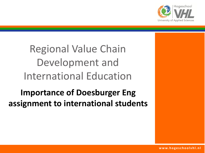

# Regional Value Chain Development and International Education

## **Importance of Doesburger Eng assignment to international students**

**www. h o g e s c h o o l v h l . n l**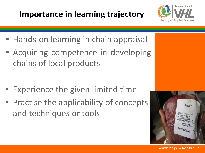## **Importance in learning trajectory**



- Hands-on learning in chain appraisal
- **Example 20 Acquiring competence in developing** chains of local products

- Experience the given limited time
- Practise the applicability of concepts and techniques or tools

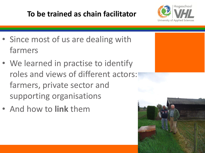#### **To be trained as chain facilitator**



- Since most of us are dealing with farmers
- We learned in practise to identify roles and views of different actors: farmers, private sector and supporting organisations
- And how to **link** them

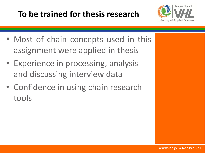## **To be trained for thesis research**



- Most of chain concepts used in this assignment were applied in thesis
- Experience in processing, analysis and discussing interview data
- Confidence in using chain research tools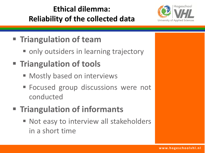### **Ethical dilemma: Reliability of the collected data**



## **Triangulation of team**

only outsiders in learning trajectory

# **Triangulation of tools**

- Mostly based on interviews
- **Focused group discussions were not** conducted

# **Triangulation of informants**

■ Not easy to interview all stakeholders in a short time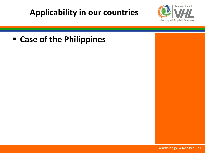### **Applicability in our countries**



#### **Case of the Philippines**